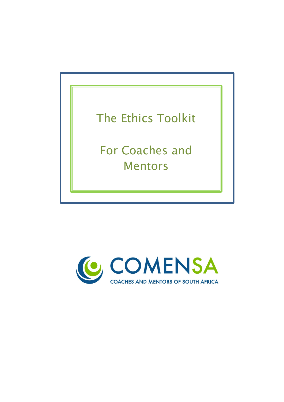

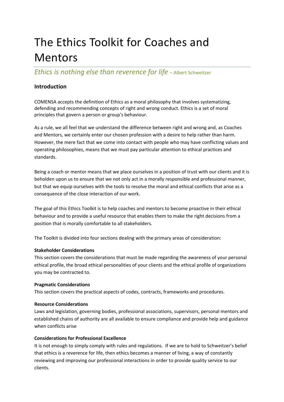# The Ethics Toolkit for Coaches and Mentors

*Ethics is nothing else than reverence for life* – Albert Schweitzer

# **Introduction**

COMENSA accepts the definition of Ethics as a moral philosophy that involves systematizing, defending and recommending concepts of right and wrong conduct. Ethics is a set of moral principles that govern a person or group's behaviour.

As a rule, we all feel that we understand the difference between right and wrong and, as Coaches and Mentors, we certainly enter our chosen profession with a desire to help rather than harm. However, the mere fact that we come into contact with people who may have conflicting values and operating philosophies, means that we must pay particular attention to ethical practices and standards.

Being a coach or mentor means that we place ourselves in a position of trust with our clients and it is beholden upon us to ensure that we not only act in a morally responsible and professional manner, but that we equip ourselves with the tools to resolve the moral and ethical conflicts that arise as a consequence of the close interaction of our work.

The goal of this Ethics Toolkit is to help coaches and mentors to become proactive in their ethical behaviour and to provide a useful resource that enables them to make the right decisions from a position that is morally comfortable to all stakeholders.

The Toolkit is divided into four sections dealing with the primary areas of consideration:

# **Stakeholder Considerations**

This section covers the considerations that must be made regarding the awareness of your personal ethical profile, the broad ethical personalities of your clients and the ethical profile of organizations you may be contracted to.

# **Pragmatic Considerations**

This section covers the practical aspects of codes, contracts, frameworks and procedures.

# **Resource Considerations**

Laws and legislation, governing bodies, professional associations, supervisors, personal mentors and established chains of authority are all available to ensure compliance and provide help and guidance when conflicts arise

# **Considerations for Professional Excellence**

It is not enough to simply comply with rules and regulations. If we are to hold to Schweitzer's belief that ethics is a reverence for life, then ethics becomes a manner of living, a way of constantly reviewing and improving our professional interactions in order to provide quality service to our clients.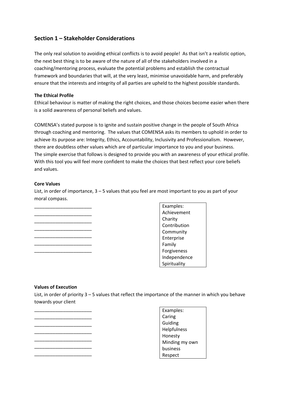# **Section 1 – Stakeholder Considerations**

The only real solution to avoiding ethical conflicts is to avoid people! As that isn't a realistic option, the next best thing is to be aware of the nature of all of the stakeholders involved in a coaching/mentoring process, evaluate the potential problems and establish the contractual framework and boundaries that will, at the very least, minimise unavoidable harm, and preferably ensure that the interests and integrity of all parties are upheld to the highest possible standards.

# **The Ethical Profile**

Ethical behaviour is matter of making the right choices, and those choices become easier when there is a solid awareness of personal beliefs and values.

COMENSA's stated purpose is to ignite and sustain positive change in the people of South Africa through coaching and mentoring. The values that COMENSA asks its members to uphold in order to achieve its purpose are: Integrity, Ethics, Accountability, Inclusivity and Professionalism. However, there are doubtless other values which are of particular importance to you and your business. The simple exercise that follows is designed to provide you with an awareness of your ethical profile. With this tool you will feel more confident to make the choices that best reflect your core beliefs and values.

# **Core Values**

List, in order of importance, 3 – 5 values that you feel are most important to you as part of your moral compass.



Examples: Achievement Charity Contribution Community Enterprise Family Forgiveness Independence Spirituality

### **Values of Execution**

List, in order of priority 3 – 5 values that reflect the importance of the manner in which you behave towards your client



Examples: Caring Guiding Helpfulness Honesty Minding my own business Respect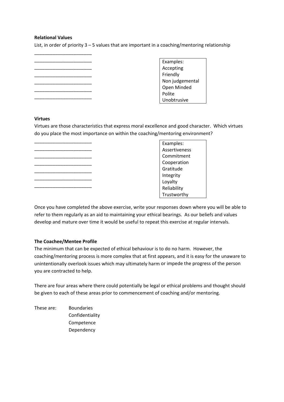# **Relational Values**

List, in order of priority  $3 - 5$  values that are important in a coaching/mentoring relationship

\_\_\_\_\_\_\_\_\_\_\_\_\_\_\_\_\_\_\_\_\_\_ \_\_\_\_\_\_\_\_\_\_\_\_\_\_\_\_\_\_\_\_\_\_ \_\_\_\_\_\_\_\_\_\_\_\_\_\_\_\_\_\_\_\_\_\_ \_\_\_\_\_\_\_\_\_\_\_\_\_\_\_\_\_\_\_\_\_\_ \_\_\_\_\_\_\_\_\_\_\_\_\_\_\_\_\_\_\_\_\_\_ \_\_\_\_\_\_\_\_\_\_\_\_\_\_\_\_\_\_\_\_\_\_

\_\_\_\_\_\_\_\_\_\_\_\_\_\_\_\_\_\_\_\_\_\_

Examples: Accepting Friendly Non judgemental Open Minded Polite Unobtrusive

# **Virtues**

Virtues are those characteristics that express moral excellence and good character. Which virtues do you place the most importance on within the coaching/mentoring environment?

\_\_\_\_\_\_\_\_\_\_\_\_\_\_\_\_\_\_\_\_\_\_ \_\_\_\_\_\_\_\_\_\_\_\_\_\_\_\_\_\_\_\_\_\_ \_\_\_\_\_\_\_\_\_\_\_\_\_\_\_\_\_\_\_\_\_\_ \_\_\_\_\_\_\_\_\_\_\_\_\_\_\_\_\_\_\_\_\_\_ \_\_\_\_\_\_\_\_\_\_\_\_\_\_\_\_\_\_\_\_\_\_ \_\_\_\_\_\_\_\_\_\_\_\_\_\_\_\_\_\_\_\_\_\_ \_\_\_\_\_\_\_\_\_\_\_\_\_\_\_\_\_\_\_\_\_\_

Examples: Assertiveness Commitment Cooperation Gratitude Integrity Loyalty Reliability Trustworthy

Once you have completed the above exercise, write your responses down where you will be able to refer to them regularly as an aid to maintaining your ethical bearings. As our beliefs and values develop and mature over time it would be useful to repeat this exercise at regular intervals.

# **The Coachee/Mentee Profile**

The minimum that can be expected of ethical behaviour is to do no harm. However, the coaching/mentoring process is more complex that at first appears, and it is easy for the unaware to unintentionally overlook issues which may ultimately harm or impede the progress of the person you are contracted to help.

There are four areas where there could potentially be legal or ethical problems and thought should be given to each of these areas prior to commencement of coaching and/or mentoring.

These are: Boundaries Confidentiality Competence Dependency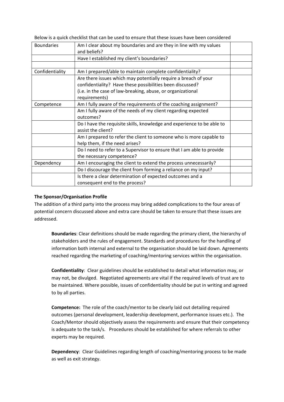Below is a quick checklist that can be used to ensure that these issues have been considered

| <b>Boundaries</b> | Am I clear about my boundaries and are they in line with my values<br>and beliefs? |  |
|-------------------|------------------------------------------------------------------------------------|--|
|                   |                                                                                    |  |
|                   | Have I established my client's boundaries?                                         |  |
|                   |                                                                                    |  |
| Confidentiality   | Am I prepared/able to maintain complete confidentiality?                           |  |
|                   | Are there issues which may potentially require a breach of your                    |  |
|                   | confidentiality? Have these possibilities been discussed?                          |  |
|                   | (i.e. in the case of law-breaking, abuse, or organizational                        |  |
|                   | requirements)                                                                      |  |
| Competence        | Am I fully aware of the requirements of the coaching assignment?                   |  |
|                   | Am I fully aware of the needs of my client regarding expected                      |  |
|                   | outcomes?                                                                          |  |
|                   | Do I have the requisite skills, knowledge and experience to be able to             |  |
|                   | assist the client?                                                                 |  |
|                   | Am I prepared to refer the client to someone who is more capable to                |  |
|                   | help them, if the need arises?                                                     |  |
|                   | Do I need to refer to a Supervisor to ensure that I am able to provide             |  |
|                   | the necessary competence?                                                          |  |
| Dependency        | Am I encouraging the client to extend the process unnecessarily?                   |  |
|                   | Do I discourage the client from forming a reliance on my input?                    |  |
|                   | Is there a clear determination of expected outcomes and a                          |  |
|                   | consequent end to the process?                                                     |  |

### **The Sponsor/Organisation Profile**

The addition of a third party into the process may bring added complications to the four areas of potential concern discussed above and extra care should be taken to ensure that these issues are addressed.

**Boundaries**: Clear definitions should be made regarding the primary client, the hierarchy of stakeholders and the rules of engagement. Standards and procedures for the handling of information both internal and external to the organisation should be laid down. Agreements reached regarding the marketing of coaching/mentoring services within the organisation.

**Confidentiality**: Clear guidelines should be established to detail what information may, or may not, be divulged. Negotiated agreements are vital if the required levels of trust are to be maintained. Where possible, issues of confidentiality should be put in writing and agreed to by all parties.

**Competence:** The role of the coach/mentor to be clearly laid out detailing required outcomes (personal development, leadership development, performance issues etc.). The Coach/Mentor should objectively assess the requirements and ensure that their competency is adequate to the task/s. Procedures should be established for where referrals to other experts may be required.

**Dependency**: Clear Guidelines regarding length of coaching/mentoring process to be made as well as exit strategy.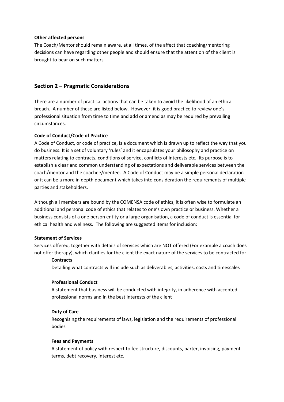# **Other affected persons**

The Coach/Mentor should remain aware, at all times, of the affect that coaching/mentoring decisions can have regarding other people and should ensure that the attention of the client is brought to bear on such matters

# **Section 2 – Pragmatic Considerations**

There are a number of practical actions that can be taken to avoid the likelihood of an ethical breach. A number of these are listed below. However, it is good practice to review one's professional situation from time to time and add or amend as may be required by prevailing circumstances.

# **Code of Conduct/Code of Practice**

A Code of Conduct, or code of practice, is a document which is drawn up to reflect the way that you do business. It is a set of voluntary 'rules' and it encapsulates your philosophy and practice on matters relating to contracts, conditions of service, conflicts of interests etc. Its purpose is to establish a clear and common understanding of expectations and deliverable services between the coach/mentor and the coachee/mentee. A Code of Conduct may be a simple personal declaration or it can be a more in depth document which takes into consideration the requirements of multiple parties and stakeholders.

Although all members are bound by the COMENSA code of ethics, it is often wise to formulate an additional and personal code of ethics that relates to one's own practice or business. Whether a business consists of a one person entity or a large organisation, a code of conduct is essential for ethical health and wellness. The following are suggested items for inclusion:

### **Statement of Services**

Services offered, together with details of services which are NOT offered (For example a coach does not offer therapy), which clarifies for the client the exact nature of the services to be contracted for.

### **Contracts**

Detailing what contracts will include such as deliverables, activities, costs and timescales

### **Professional Conduct**

A statement that business will be conducted with integrity, in adherence with accepted professional norms and in the best interests of the client

# **Duty of Care**

Recognising the requirements of laws, legislation and the requirements of professional bodies

### **Fees and Payments**

A statement of policy with respect to fee structure, discounts, barter, invoicing, payment terms, debt recovery, interest etc.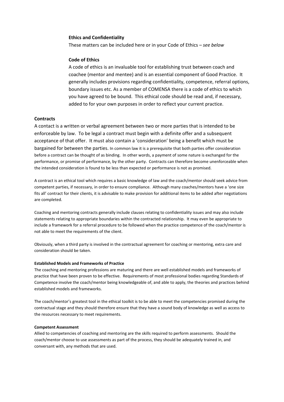#### **Ethics and Confidentiality**

These matters can be included here or in your Code of Ethics – *see below*

### **Code of Ethics**

A code of ethics is an invaluable tool for establishing trust between coach and coachee (mentor and mentee) and is an essential component of Good Practice. It generally includes provisions regarding confidentiality, competence, referral options, boundary issues etc. As a member of COMENSA there is a code of ethics to which you have agreed to be bound. This ethical code should be read and, if necessary, added to for your own purposes in order to reflect your current practice.

#### **Contracts**

A contact is a written or verbal agreement between two or more parties that is intended to be enforceable by law. To be legal a contract must begin with a definite offer and a subsequent acceptance of that offer. It must also contain a 'consideration' being a benefit which must be bargained for between the parties. In common law it is a prerequisite that both parties offer consideration before a contract can be thought of as binding. In other words, a payment of some nature is exchanged for the performance, or promise of performance, by the other party. Contracts can therefore become unenforceable when the intended consideration is found to be less than expected or performance is not as promised.

A contract is an ethical tool which requires a basic knowledge of law and the coach/mentor should seek advice from competent parties, if necessary, in order to ensure compliance. Although many coaches/mentors have a 'one size fits all' contract for their clients, it is advisable to make provision for additional items to be added after negotiations are completed.

Coaching and mentoring contracts generally include clauses relating to confidentiality issues and may also include statements relating to appropriate boundaries within the contracted relationship. It may even be appropriate to include a framework for a referral procedure to be followed when the practice competence of the coach/mentor is not able to meet the requirements of the client.

Obviously, when a third party is involved in the contractual agreement for coaching or mentoring, extra care and consideration should be taken.

#### **Established Models and Frameworks of Practice**

The coaching and mentoring professions are maturing and there are well established models and frameworks of practice that have been proven to be effective. Requirements of most professional bodies regarding Standards of Competence involve the coach/mentor being knowledgeable of, and able to apply, the theories and practices behind established models and frameworks.

The coach/mentor's greatest tool in the ethical toolkit is to be able to meet the competencies promised during the contractual stage and they should therefore ensure that they have a sound body of knowledge as well as access to the resources necessary to meet requirements.

#### **Competent Assessment**

Allied to competencies of coaching and mentoring are the skills required to perform assessments. Should the coach/mentor choose to use assessments as part of the process, they should be adequately trained in, and conversant with, any methods that are used.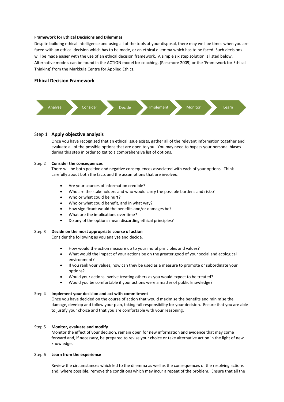#### **Framework for Ethical Decisions and Dilemmas**

Despite building ethical intelligence and using all of the tools at your disposal, there may well be times when you are faced with an ethical decision which has to be made, or an ethical dilemma which has to be faced. Such decisions will be made easier with the use of an ethical decision framework. A simple six step solution is listed below. Alternative models can be found in the ACTION model for coaching. (Passmore 2009) or the 'Framework for Ethical Thinking' from the Markkula Centre for Applied Ethics.

### **Ethical Decision Framework**



#### Step 1 **Apply objective analysis**

Once you have recognised that an ethical issue exists, gather all of the relevant information together and evaluate all of the possible options that are open to you. You may need to bypass your personal biases during this step in order to get to a comprehensive list of options.

#### Step 2 **Consider the consequences**

There will be both positive and negative consequences associated with each of your options. Think carefully about both the facts and the assumptions that are involved.

- Are your sources of information credible?
- Who are the stakeholders and who would carry the possible burdens and risks?
- Who or what could be hurt?
- Who or what could benefit, and in what way?
- How significant would the benefits and/or damages be?
- What are the implications over time?
- Do any of the options mean discarding ethical principles?

#### Step 3 **Decide on the most appropriate course of action**

Consider the following as you analyse and decide.

- How would the action measure up to your moral principles and values?
- What would the impact of your actions be on the greater good of your social and ecological environment?
- If you rank your values, how can they be used as a measure to promote or subordinate your options?
- Would your actions involve treating others as you would expect to be treated?
- Would you be comfortable if your actions were a matter of public knowledge?

#### Step 4 **Implement your decision and act with commitment**

Once you have decided on the course of action that would maximise the benefits and minimise the damage, develop and follow your plan, taking full responsibility for your decision. Ensure that you are able to justify your choice and that you are comfortable with your reasoning.

#### Step 5 **Monitor, evaluate and modify**

Monitor the effect of your decision, remain open for new information and evidence that may come forward and, if necessary, be prepared to revise your choice or take alternative action in the light of new knowledge.

#### Step 6 **Learn from the experience**

Review the circumstances which led to the dilemma as well as the consequences of the resolving actions and, where possible, remove the conditions which may incur a repeat of the problem. Ensure that all the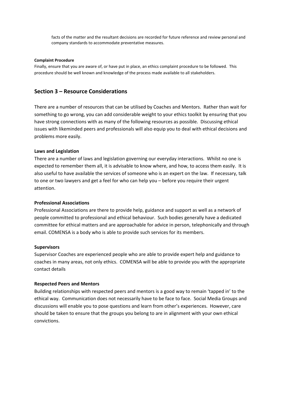facts of the matter and the resultant decisions are recorded for future reference and review personal and company standards to accommodate preventative measures.

#### **Complaint Procedure**

Finally, ensure that you are aware of, or have put in place, an ethics complaint procedure to be followed. This procedure should be well known and knowledge of the process made available to all stakeholders.

# **Section 3 – Resource Considerations**

There are a number of resources that can be utilised by Coaches and Mentors. Rather than wait for something to go wrong, you can add considerable weight to your ethics toolkit by ensuring that you have strong connections with as many of the following resources as possible. Discussing ethical issues with likeminded peers and professionals will also equip you to deal with ethical decisions and problems more easily.

### **Laws and Legislation**

There are a number of laws and legislation governing our everyday interactions. Whilst no one is expected to remember them all, it is advisable to know where, and how, to access them easily. It is also useful to have available the services of someone who is an expert on the law. If necessary, talk to one or two lawyers and get a feel for who can help you – before you require their urgent attention.

### **Professional Associations**

Professional Associations are there to provide help, guidance and support as well as a network of people committed to professional and ethical behaviour. Such bodies generally have a dedicated committee for ethical matters and are approachable for advice in person, telephonically and through email. COMENSA is a body who is able to provide such services for its members.

#### **Supervisors**

Supervisor Coaches are experienced people who are able to provide expert help and guidance to coaches in many areas, not only ethics. COMENSA will be able to provide you with the appropriate contact details

### **Respected Peers and Mentors**

Building relationships with respected peers and mentors is a good way to remain 'tapped in' to the ethical way. Communication does not necessarily have to be face to face. Social Media Groups and discussions will enable you to pose questions and learn from other's experiences. However, care should be taken to ensure that the groups you belong to are in alignment with your own ethical convictions.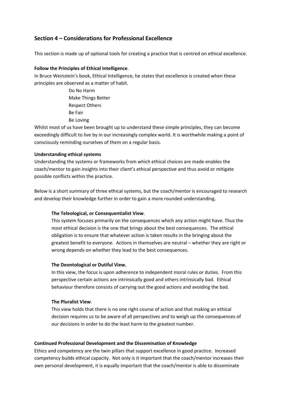# **Section 4 – Considerations for Professional Excellence**

This section is made up of optional tools for creating a practice that is centred on ethical excellence.

# **Follow the Principles of Ethical Intelligence**.

In Bruce Weinstein's book, Ethical Intelligence, he states that excellence is created when these principles are observed as a matter of habit.

> Do No Harm Make Things Better Respect Others Be Fair Be Loving

Whilst most of us have been brought up to understand these simple principles, they can become exceedingly difficult to live by in our increasingly complex world. It is worthwhile making a point of consciously reminding ourselves of them on a regular basis.

# **Understanding ethical systems**

Understanding the systems or frameworks from which ethical choices are made enables the coach/mentor to gain insights into their client's ethical perspective and thus avoid or mitigate possible conflicts within the practice.

Below is a short summary of three ethical systems, but the coach/mentor is encouraged to research and develop their knowledge further in order to gain a more rounded understanding.

### **The Teleological, or Consequentialist View**.

This system focuses primarily on the consequences which any action might have. Thus the most ethical decision is the one that brings about the best consequences. The ethical obligation is to ensure that whatever action is taken results in the bringing about the greatest benefit to everyone. Actions in themselves are neutral – whether they are right or wrong depends on whether they lead to the best consequences.

### **The Deontological or Dutiful View.**

In this view, the focus is upon adherence to independent moral rules or duties. From this perspective certain actions are intrinsically good and others intrinsically bad. Ethical behaviour therefore consists of carrying out the good actions and avoiding the bad.

### **The Pluralist View**.

This view holds that there is no one right course of action and that making an ethical decision requires us to be aware of all perspectives and to weigh up the consequences of our decisions in order to do the least harm to the greatest number.

### **Continued Professional Development and the Dissemination of Knowledge**

Ethics and competency are the twin pillars that support excellence in good practice. Increased competency builds ethical capacity. Not only is it important that the coach/mentor increases their own personal development, it is equally important that the coach/mentor is able to disseminate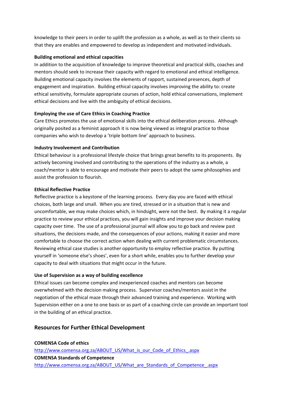knowledge to their peers in order to uplift the profession as a whole, as well as to their clients so that they are enables and empowered to develop as independent and motivated individuals.

# **Building emotional and ethical capacities**

In addition to the acquisition of knowledge to improve theoretical and practical skills, coaches and mentors should seek to increase their capacity with regard to emotional and ethical intelligence. Building emotional capacity involves the elements of rapport, sustained presences, depth of engagement and inspiration. Building ethical capacity involves improving the ability to: create ethical sensitivity, formulate appropriate courses of action, hold ethical conversations, implement ethical decisions and live with the ambiguity of ethical decisions.

# **Employing the use of Care Ethics in Coaching Practice**

Care Ethics promotes the use of emotional skills into the ethical deliberation process. Although originally posited as a feminist approach it is now being viewed as integral practice to those companies who wish to develop a 'triple bottom line' approach to business.

# **Industry Involvement and Contribution**

Ethical behaviour is a professional lifestyle choice that brings great benefits to its proponents. By actively becoming involved and contributing to the operations of the industry as a whole, a coach/mentor is able to encourage and motivate their peers to adopt the same philosophies and assist the profession to flourish.

# **Ethical Reflective Practice**

Reflective practice is a keystone of the learning process. Every day you are faced with ethical choices, both large and small. When you are tired, stressed or in a situation that is new and uncomfortable, we may make choices which, in hindsight, were not the best. By making it a regular practice to review your ethical practices, you will gain insights and improve your decision making capacity over time. The use of a professional journal will allow you to go back and review past situations, the decisions made, and the consequences of your actions, making it easier and more comfortable to choose the correct action when dealing with current problematic circumstances. Reviewing ethical case studies is another opportunity to employ reflective practice. By putting yourself in 'someone else's shoes', even for a short while, enables you to further develop your capacity to deal with situations that might occur in the future.

### **Use of Supervision as a way of building excellence**

Ethical issues can become complex and inexperienced coaches and mentors can become overwhelmed with the decision making process. Supervisor coaches/mentors assist in the negotiation of the ethical maze through their advanced training and experience. Working with Supervision either on a one to one basis or as part of a coaching circle can provide an important tool in the building of an ethical practice.

# **Resources for Further Ethical Development**

**COMENSA Code of ethics** http://www.comensa.org.za/ABOUT\_US/What\_is\_our\_Code\_of\_Ethics\_.aspx **COMENSA Standards of Competence** http://www.comensa.org.za/ABOUT\_US/What\_are\_Standards\_of\_Competence\_.aspx